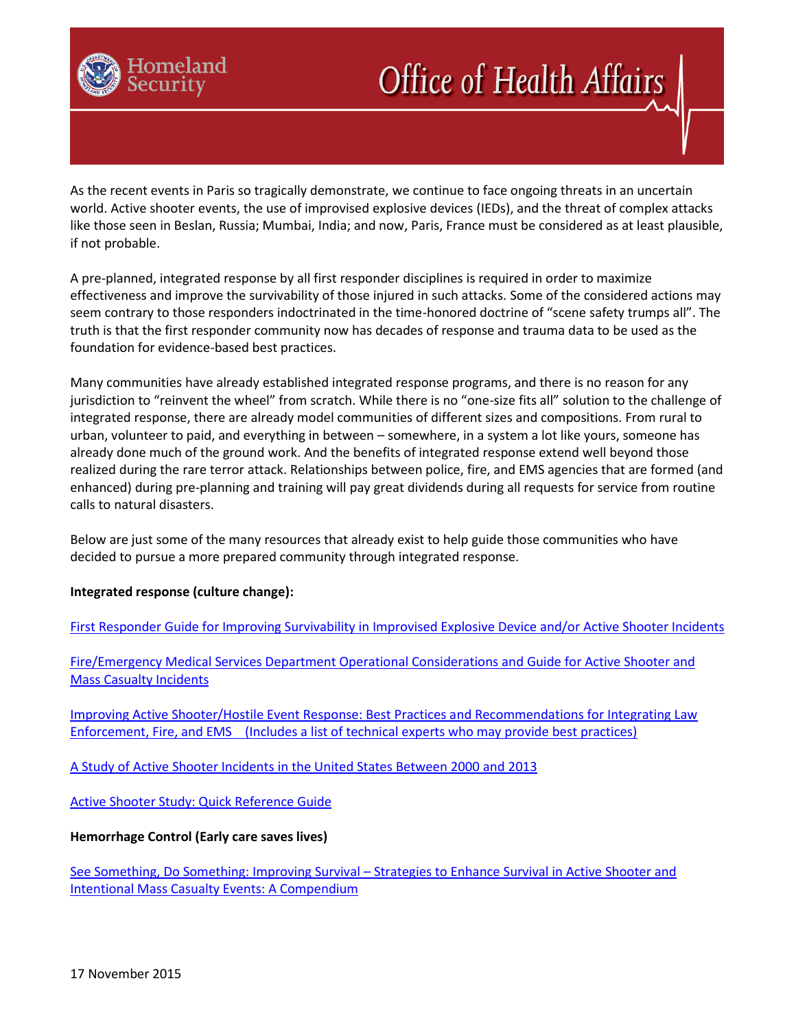

# **Office of Health Affairs**

As the recent events in Paris so tragically demonstrate, we continue to face ongoing threats in an uncertain world. Active shooter events, the use of improvised explosive devices (IEDs), and the threat of complex attacks like those seen in Beslan, Russia; Mumbai, India; and now, Paris, France must be considered as at least plausible, if not probable.

A pre-planned, integrated response by all first responder disciplines is required in order to maximize effectiveness and improve the survivability of those injured in such attacks. Some of the considered actions may seem contrary to those responders indoctrinated in the time-honored doctrine of "scene safety trumps all". The truth is that the first responder community now has decades of response and trauma data to be used as the foundation for evidence-based best practices.

Many communities have already established integrated response programs, and there is no reason for any jurisdiction to "reinvent the wheel" from scratch. While there is no "one-size fits all" solution to the challenge of integrated response, there are already model communities of different sizes and compositions. From rural to urban, volunteer to paid, and everything in between – somewhere, in a system a lot like yours, someone has already done much of the ground work. And the benefits of integrated response extend well beyond those realized during the rare terror attack. Relationships between police, fire, and EMS agencies that are formed (and enhanced) during pre-planning and training will pay great dividends during all requests for service from routine calls to natural disasters.

Below are just some of the many resources that already exist to help guide those communities who have decided to pursue a more prepared community through integrated response.

# **Integrated response (culture change):**

[First Responder Guide for Improving Survivability in Improvised Explosive Device and/or Active Shooter Incidents](http://www.dhs.gov/sites/default/files/publications/First%20Responder%20Guidance%20June%202015%20FINAL%202.pdf)

[Fire/Emergency Medical Services Department Operational Considerations and Guide for Active Shooter and](https://www.usfa.fema.gov/downloads/pdf/publications/active_shooter_guide.pdf)  [Mass Casualty Incidents](https://www.usfa.fema.gov/downloads/pdf/publications/active_shooter_guide.pdf)

[Improving Active Shooter/Hostile Event Response: Best Practices and Recommendations for Integrating Law](http://www.interagencyboard.org/sites/default/files/publications/External%20IAB%20Active%20Shooter%20Summit%20Report.pdf)  [Enforcement, Fire, and EMS \(Includes a list of technical experts who may provide best practices\)](http://www.interagencyboard.org/sites/default/files/publications/External%20IAB%20Active%20Shooter%20Summit%20Report.pdf) 

[A Study of Active Shooter Incidents in the United States Between 2000 and](https://www.fbi.gov/news/stories/2014/september/fbi-releases-study-on-active-shooter-incidents/pdfs/a-study-of-active-shooter-incidents-in-the-u.s.-between-2000-and-2013) 2013

[Active Shooter Study: Quick Reference Guide](https://www.fbi.gov/about-us/office-of-partner-engagement/active-shooter-incidents/active-shooter-study-quick-reference-guide)

# **Hemorrhage Control (Early care saves lives)**

See Something, Do Something: Improving Survival – [Strategies to Enhance Survival in Active Shooter and](https://www.facs.org/~/media/files/publications/bulletin/hartford%20consensus%20compendium.ashx)  [Intentional Mass Casualty Events: A Compendium](https://www.facs.org/~/media/files/publications/bulletin/hartford%20consensus%20compendium.ashx)